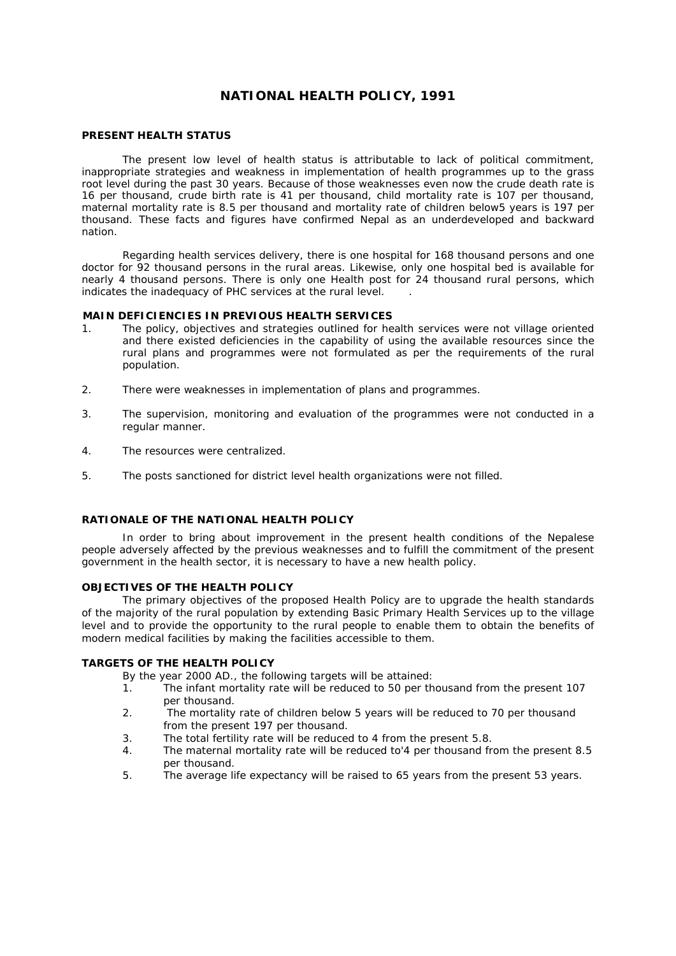# **NATIONAL HEALTH POLICY, 1991**

#### **PRESENT HEALTH STATUS**

 The present low level of health status is attributable to lack of political commitment, inappropriate strategies and weakness in implementation of health programmes up to the grass root level during the past 30 years. Because of those weaknesses even now the crude death rate is 16 per thousand, crude birth rate is 41 per thousand, child mortality rate is 107 per thousand, maternal mortality rate is 8.5 per thousand and mortality rate of children below5 years is 197 per thousand. These facts and figures have confirmed Nepal as an underdeveloped and backward nation.

 Regarding health services delivery, there is one hospital for 168 thousand persons and one doctor for 92 thousand persons in the rural areas. Likewise, only one hospital bed is available for nearly 4 thousand persons. There is only one Health post for 24 thousand rural persons, which indicates the inadequacy of PHC services at the rural level. .

#### **MAIN DEFICIENCIES IN PREVIOUS HEALTH SERVICES**

- 1. The policy, objectives and strategies outlined for health services were not village oriented and there existed deficiencies in the capability of using the available resources since the rural plans and programmes were not formulated as per the requirements of the rural population.
- 2. There were weaknesses in implementation of plans and programmes.
- 3. The supervision, monitoring and evaluation of the programmes were not conducted in a regular manner.
- 4. The resources were centralized.
- 5. The posts sanctioned for district level health organizations were not filled.

# **RATIONALE OF THE NATIONAL HEALTH POLICY**

 In order to bring about improvement in the present health conditions of the Nepalese people adversely affected by the previous weaknesses and to fulfill the commitment of the present government in the health sector, it is necessary to have a new health policy.

# **OBJECTIVES OF THE HEALTH POLICY**

 The primary objectives of the proposed Health Policy are to upgrade the health standards of the majority of the rural population by extending Basic Primary Health Services up to the village level and to provide the opportunity to the rural people to enable them to obtain the benefits of modern medical facilities by making the facilities accessible to them.

# **TARGETS OF THE HEALTH POLICY**

By the year 2000 AD., the following targets will be attained:

- 1. The infant mortality rate will be reduced to 50 per thousand from the present 107 per thousand.
- 2. The mortality rate of children below 5 years will be reduced to 70 per thousand from the present 197 per thousand.
- 3. The total fertility rate will be reduced to 4 from the present 5.8.
- 4. The maternal mortality rate will be reduced to'4 per thousand from the present 8.5 per thousand.
- 5. The average life expectancy will be raised to 65 years from the present 53 years.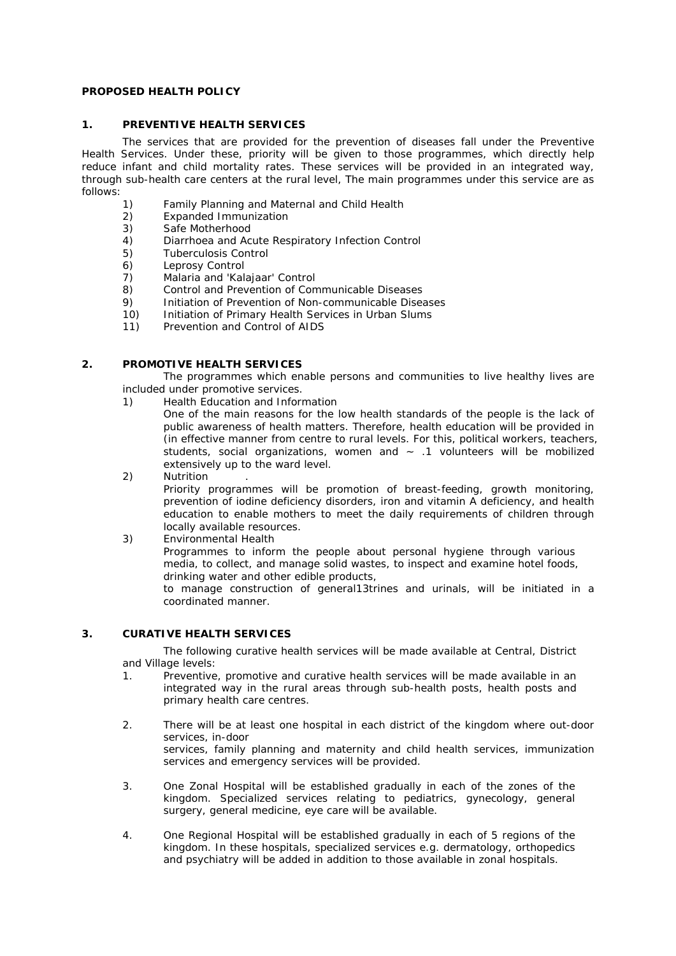# **PROPOSED HEALTH POLICY**

#### **1. PREVENTIVE HEALTH SERVICES**

 The services that are provided for the prevention of diseases fall under the Preventive Health Services. Under these, priority will be given to those programmes, which directly help reduce infant and child mortality rates. These services will be provided in an integrated way, through sub-health care centers at the rural level, The main programmes under this service are as follows:

- 1) Family Planning and Maternal and Child Health
- 2) Expanded Immunization
- 3) Safe Motherhood<br>4) Diarrhoea and Ac
- 4) Diarrhoea and Acute Respiratory Infection Control
- 5) Tuberculosis Control
- 6) Leprosy Control
- 7) Malaria and 'Kalajaar' Control
- 8) Control and Prevention of Communicable Diseases
- 9) Initiation of Prevention of Non-communicable Diseases
- 10) Initiation of Primary Health Services in Urban Slums
- 11) Prevention and Control of AIDS

#### **2. PROMOTIVE HEALTH SERVICES**

 The programmes which enable persons and communities to live healthy lives are included under promotive services.

1) *Health Education and Information*

 One of the main reasons for the low health standards of the people is the lack of public awareness of health matters. Therefore, health education will be provided in (in effective manner from centre to rural levels. For this, political workers, teachers, students, social organizations, women and  $\sim$  .1 volunteers will be mobilized extensively up to the ward level.

- 2) *Nutrition* . Priority programmes will be promotion of breast-feeding, growth monitoring, prevention of iodine deficiency disorders, iron and vitamin A deficiency, and health education to enable mothers to meet the daily requirements of children through locally available resources.
- 3) *Environmental Health* Programmes to inform the people about personal hygiene through various media, to collect, and manage solid wastes, to inspect and examine hotel foods, drinking water and other edible products,

 to manage construction of general13trines and urinals, will be initiated in a coordinated manner.

# **3. CURATIVE HEALTH SERVICES**

 The following curative health services will be made available at Central, District and Village levels:

- 1. Preventive, promotive and curative health services will be made available in an integrated way in the rural areas through sub-health posts, health posts and primary health care centres.
- 2. There will be at least one hospital in each district of the kingdom where out-door services, in-door services, family planning and maternity and child health services, immunization services and emergency services will be provided.
- 3. One Zonal Hospital will be established gradually in each of the zones of the kingdom. Specialized services relating to pediatrics, gynecology, general surgery, general medicine, eye care will be available.
- 4. One Regional Hospital will be established gradually in each of 5 regions of the kingdom. In these hospitals, specialized services e.g. dermatology, orthopedics and psychiatry will be added in addition to those available in zonal hospitals.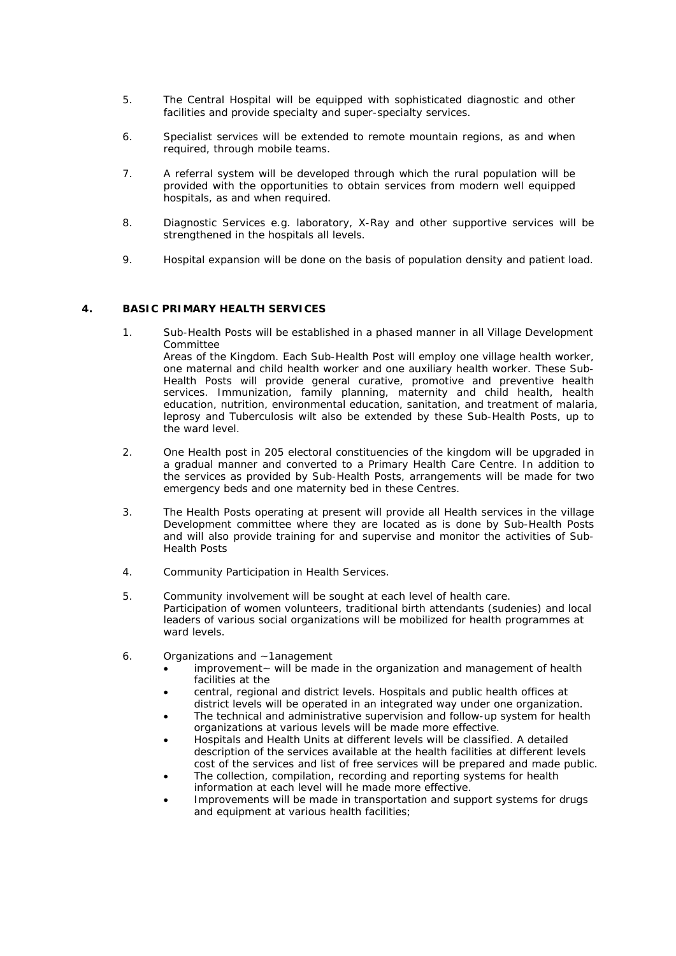- 5. The Central Hospital will be equipped with sophisticated diagnostic and other facilities and provide specialty and super-specialty services.
- 6. Specialist services will be extended to remote mountain regions, as and when required, through mobile teams.
- 7. A referral system will be developed through which the rural population will be provided with the opportunities to obtain services from modern well equipped hospitals, as and when required.
- 8. Diagnostic Services e.g. laboratory, X-Ray and other supportive services will be strengthened in the hospitals all levels.
- 9. Hospital expansion will be done on the basis of population density and patient load.

#### **4. BASIC PRIMARY HEALTH SERVICES**

- 1. Sub-Health Posts will be established in a phased manner in all Village Development Committee Areas of *the* Kingdom. Each Sub-Health Post will employ one village health worker, one maternal and child health worker and one auxiliary health worker. These Sub-Health Posts will provide general curative, promotive and preventive health services. Immunization, family planning, maternity and child health, health education, nutrition, environmental education, sanitation, and treatment of malaria, leprosy and Tuberculosis wilt also be extended by these Sub-Health Posts, up to the ward level.
- 2. One Health post in 205 electoral constituencies of the kingdom will be upgraded in a gradual manner and converted to a Primary Health Care Centre. In addition to the services as provided by Sub-Health Posts, arrangements will be made for two emergency beds and one maternity bed in these Centres.
- 3. The Health Posts operating at present will provide all Health services in the village Development committee where they are located as is done by Sub-Health Posts and will also provide training for and supervise and monitor the activities of Sub-Health Posts
- 4. Community Participation in Health Services.
- 5. Community involvement will be sought at each level of health care. Participation of women volunteers, traditional birth attendants (sudenies) and local leaders of various social organizations will be mobilized for health programmes at ward levels.
- 6. Organizations and ~1anagement
	- $improvement \sim$  will be made in the organization and management of health facilities at the
	- central, regional and district levels. Hospitals and public health offices at district levels will be operated in an integrated way under one organization.
	- The technical and administrative supervision and follow-up system for health organizations at various levels will be made more effective.
	- Hospitals and Health Units at different levels will be classified. A detailed description of the services available at the health facilities at different levels cost *of* the services and list of free services will be prepared and made public.
	- The collection, compilation, recording and reporting systems for health information at each level will he made more effective.
	- Improvements will be made in transportation and support systems *for* drugs and equipment at various health facilities;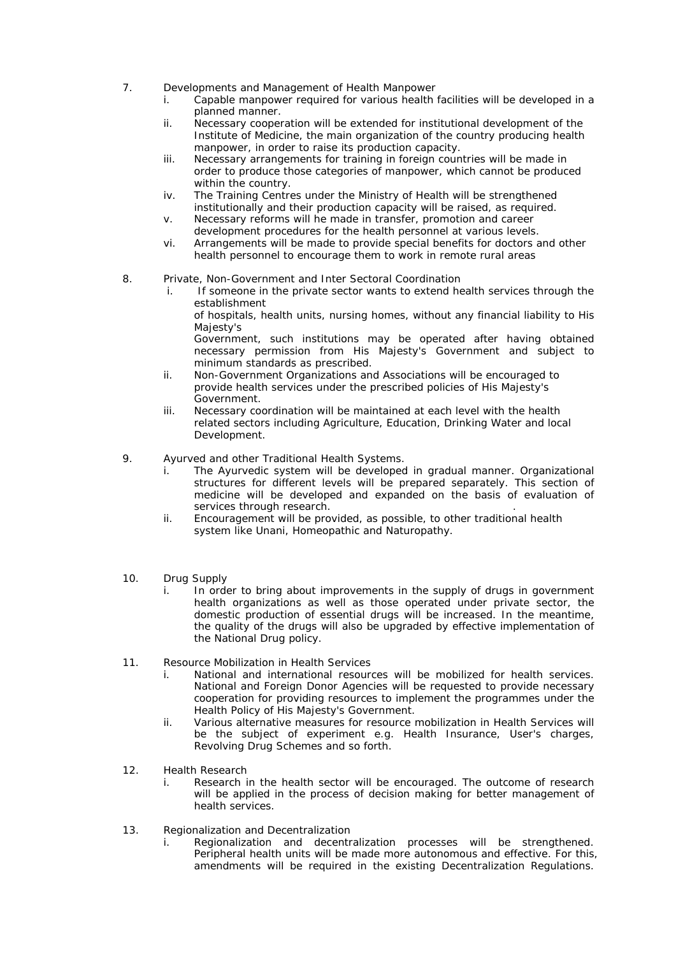- 7. Developments and Management of Health Manpower
	- i. Capable manpower required for various health facilities will be developed in a planned manner.
	- ii. Necessary cooperation will be extended for institutional development of the Institute of Medicine, the main organization *of* the country producing health manpower, in order to raise its production capacity.
	- iii. Necessary arrangements for training in foreign countries will be made in order to produce those categories of manpower, which cannot be produced within the country.
	- iv. The Training Centres under the Ministry of Health will be strengthened institutionally and their production capacity will be raised, as required.
	- v. Necessary reforms will he made in transfer, promotion and career development procedures for the health personnel at various levels.
	- vi. Arrangements will be made to provide special benefits for doctors and other health personnel to encourage them to work in remote rural areas
- 8. Private, Non-Government and Inter Sectoral Coordination
	- i. If someone in the private sector wants to extend health services through the establishment

 of hospitals, health units, nursing homes, without any financial liability to His Majesty's

 Government, such institutions may be operated after having obtained necessary permission from His Majesty's Government and subject to minimum standards as prescribed.

- ii. Non-Government Organizations and Associations will be encouraged to provide health services under the prescribed policies *of* His Majesty's Government.
- iii. Necessary coordination will be maintained at each level with the health related sectors including Agriculture, Education, Drinking Water and local Development.
- 9. Ayurved and other Traditional Health Systems.
	- The Ayurvedic system will be developed in gradual manner. Organizational structures for different levels will be prepared separately. This section of medicine will be developed and expanded on the basis of evaluation of services through research.
	- ii. Encouragement will be provided, as possible, to other traditional health system like Unani, Homeopathic and Naturopathy.
- 10. Drug Supply
	- i. In order to bring about improvements in the supply of drugs in government health organizations as well as those operated under private sector, the domestic production of essential drugs will be increased. In the meantime, the quality of the drugs will also be upgraded by effective implementation of the National Drug policy.
- 11. Resource Mobilization in Health Services
	- i. National and international resources will be mobilized for health services. National and Foreign Donor Agencies will be requested to provide necessary cooperation for providing resources to implement the programmes under the Health Policy of His Majesty's Government.
	- ii. Various alternative measures for resource mobilization in Health Services will be the subject of experiment e.g. Health Insurance, User's charges, Revolving Drug Schemes and so forth.
- 12. Health Research
	- i. Research in the health sector will be encouraged. The outcome of research will be applied in the process of decision making for better management of health services.
- 13. Regionalization and Decentralization
	- i. Regionalization and decentralization processes will be strengthened. Peripheral health units will be made more autonomous and effective. For this, amendments will be required in the existing Decentralization Regulations.